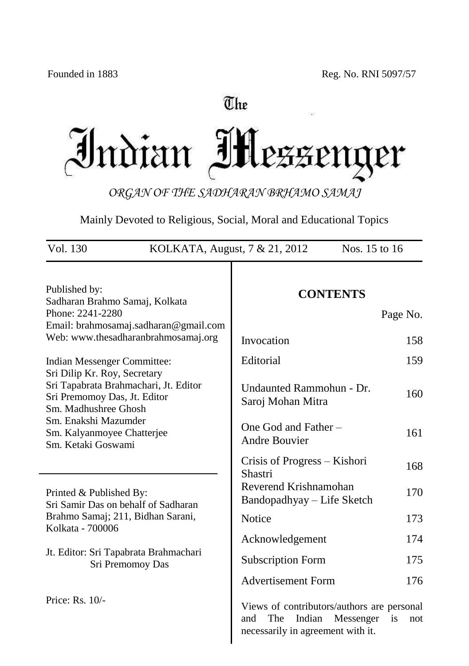# The

Indian Messeng ter

*ORGAN OF THE SADHARAN BRHAMO SAMAJ*

Mainly Devoted to Religious, Social, Moral and Educational Topics

| Vol. 130<br>Nos. 15 to 16<br>KOLKATA, August, 7 & 21, 2012                                                                                          |                                                                                                                                   |  |  |
|-----------------------------------------------------------------------------------------------------------------------------------------------------|-----------------------------------------------------------------------------------------------------------------------------------|--|--|
| Published by:<br>Sadharan Brahmo Samaj, Kolkata<br>Phone: 2241-2280<br>Email: brahmosamaj.sadharan@gmail.com<br>Web: www.thesadharanbrahmosamaj.org | <b>CONTENTS</b><br>Page No.                                                                                                       |  |  |
|                                                                                                                                                     | Invocation<br>158                                                                                                                 |  |  |
| Indian Messenger Committee:                                                                                                                         | Editorial<br>159                                                                                                                  |  |  |
| Sri Dilip Kr. Roy, Secretary<br>Sri Tapabrata Brahmachari, Jt. Editor<br>Sri Premomoy Das, Jt. Editor<br>Sm. Madhushree Ghosh                       | Undaunted Rammohun - Dr.<br>160<br>Saroj Mohan Mitra                                                                              |  |  |
| Sm. Enakshi Mazumder<br>Sm. Kalyanmoyee Chatterjee<br>Sm. Ketaki Goswami                                                                            | One God and Father-<br>161<br><b>Andre Bouvier</b>                                                                                |  |  |
|                                                                                                                                                     | Crisis of Progress – Kishori<br>168<br>Shastri                                                                                    |  |  |
| Printed & Published By:<br>Sri Samir Das on behalf of Sadharan                                                                                      | Reverend Krishnamohan<br>170<br>Bandopadhyay – Life Sketch                                                                        |  |  |
| Brahmo Samaj; 211, Bidhan Sarani,                                                                                                                   | Notice<br>173                                                                                                                     |  |  |
| Kolkata - 700006                                                                                                                                    | Acknowledgement<br>174                                                                                                            |  |  |
| Jt. Editor: Sri Tapabrata Brahmachari<br>Sri Premomoy Das                                                                                           | 175<br><b>Subscription Form</b>                                                                                                   |  |  |
|                                                                                                                                                     | <b>Advertisement Form</b><br>176                                                                                                  |  |  |
| Price: Rs. 10/-                                                                                                                                     | Views of contributors/authors are personal<br>Indian<br>The<br>Messenger<br>and<br>is<br>not<br>necessarily in agreement with it. |  |  |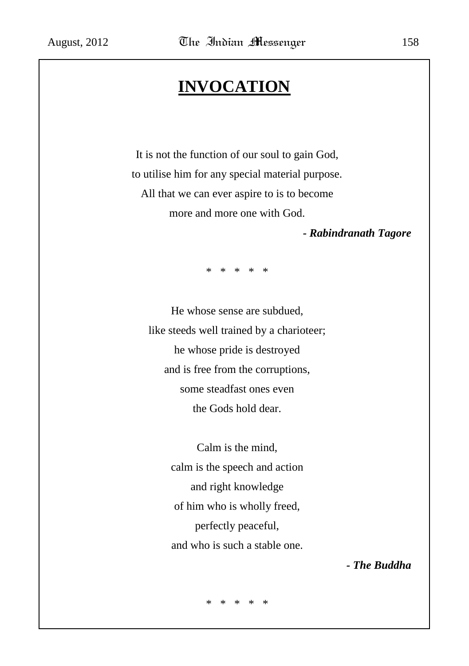# **INVOCATION**

It is not the function of our soul to gain God, to utilise him for any special material purpose. All that we can ever aspire to is to become more and more one with God.

*- Rabindranath Tagore*

\* \* \* \* \*

He whose sense are subdued, like steeds well trained by a charioteer; he whose pride is destroyed and is free from the corruptions, some steadfast ones even the Gods hold dear.

> Calm is the mind, calm is the speech and action and right knowledge of him who is wholly freed, perfectly peaceful, and who is such a stable one.

> > *- The Buddha*

\* \* \* \* \*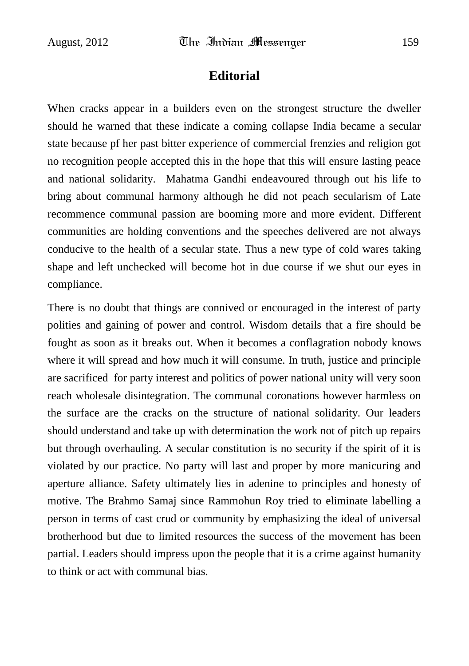## **Editorial**

When cracks appear in a builders even on the strongest structure the dweller should he warned that these indicate a coming collapse India became a secular state because pf her past bitter experience of commercial frenzies and religion got no recognition people accepted this in the hope that this will ensure lasting peace and national solidarity. Mahatma Gandhi endeavoured through out his life to bring about communal harmony although he did not peach secularism of Late recommence communal passion are booming more and more evident. Different communities are holding conventions and the speeches delivered are not always conducive to the health of a secular state. Thus a new type of cold wares taking shape and left unchecked will become hot in due course if we shut our eyes in compliance.

There is no doubt that things are connived or encouraged in the interest of party polities and gaining of power and control. Wisdom details that a fire should be fought as soon as it breaks out. When it becomes a conflagration nobody knows where it will spread and how much it will consume. In truth, justice and principle are sacrificed for party interest and politics of power national unity will very soon reach wholesale disintegration. The communal coronations however harmless on the surface are the cracks on the structure of national solidarity. Our leaders should understand and take up with determination the work not of pitch up repairs but through overhauling. A secular constitution is no security if the spirit of it is violated by our practice. No party will last and proper by more manicuring and aperture alliance. Safety ultimately lies in adenine to principles and honesty of motive. The Brahmo Samaj since Rammohun Roy tried to eliminate labelling a person in terms of cast crud or community by emphasizing the ideal of universal brotherhood but due to limited resources the success of the movement has been partial. Leaders should impress upon the people that it is a crime against humanity to think or act with communal bias.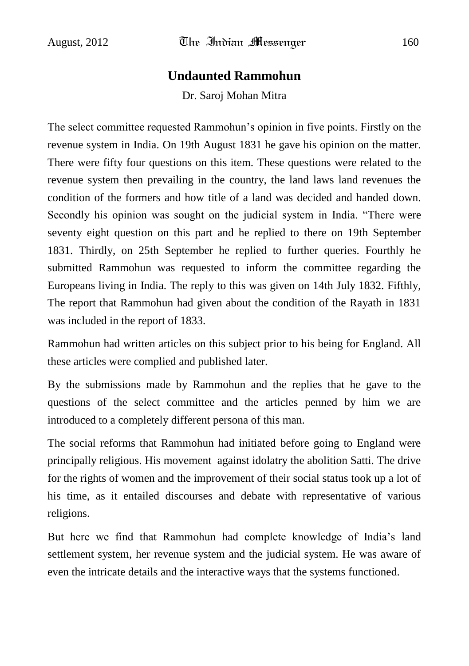### **Undaunted Rammohun**

Dr. Saroj Mohan Mitra

The select committee requested Rammohun"s opinion in five points. Firstly on the revenue system in India. On 19th August 1831 he gave his opinion on the matter. There were fifty four questions on this item. These questions were related to the revenue system then prevailing in the country, the land laws land revenues the condition of the formers and how title of a land was decided and handed down. Secondly his opinion was sought on the judicial system in India. "There were seventy eight question on this part and he replied to there on 19th September 1831. Thirdly, on 25th September he replied to further queries. Fourthly he submitted Rammohun was requested to inform the committee regarding the Europeans living in India. The reply to this was given on 14th July 1832. Fifthly, The report that Rammohun had given about the condition of the Rayath in 1831 was included in the report of 1833.

Rammohun had written articles on this subject prior to his being for England. All these articles were complied and published later.

By the submissions made by Rammohun and the replies that he gave to the questions of the select committee and the articles penned by him we are introduced to a completely different persona of this man.

The social reforms that Rammohun had initiated before going to England were principally religious. His movement against idolatry the abolition Satti. The drive for the rights of women and the improvement of their social status took up a lot of his time, as it entailed discourses and debate with representative of various religions.

But here we find that Rammohun had complete knowledge of India"s land settlement system, her revenue system and the judicial system. He was aware of even the intricate details and the interactive ways that the systems functioned.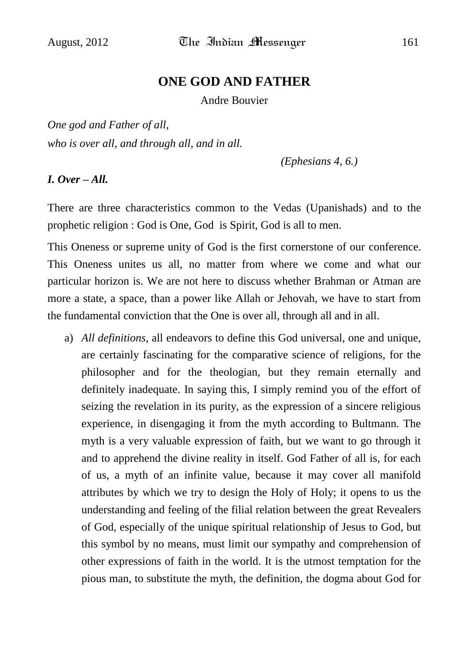## **ONE GOD AND FATHER**

Andre Bouvier

*One god and Father of all, who is over all, and through all, and in all.*

*(Ephesians 4, 6.)*

### *I. Over – All.*

There are three characteristics common to the Vedas (Upanishads) and to the prophetic religion : God is One, God is Spirit, God is all to men.

This Oneness or supreme unity of God is the first cornerstone of our conference. This Oneness unites us all, no matter from where we come and what our particular horizon is. We are not here to discuss whether Brahman or Atman are more a state, a space, than a power like Allah or Jehovah, we have to start from the fundamental conviction that the One is over all, through all and in all.

a) *All definitions*, all endeavors to define this God universal, one and unique, are certainly fascinating for the comparative science of religions, for the philosopher and for the theologian, but they remain eternally and definitely inadequate. In saying this, I simply remind you of the effort of seizing the revelation in its purity, as the expression of a sincere religious experience, in disengaging it from the myth according to Bultmann. The myth is a very valuable expression of faith, but we want to go through it and to apprehend the divine reality in itself. God Father of all is, for each of us, a myth of an infinite value, because it may cover all manifold attributes by which we try to design the Holy of Holy; it opens to us the understanding and feeling of the filial relation between the great Revealers of God, especially of the unique spiritual relationship of Jesus to God, but this symbol by no means, must limit our sympathy and comprehension of other expressions of faith in the world. It is the utmost temptation for the pious man, to substitute the myth, the definition, the dogma about God for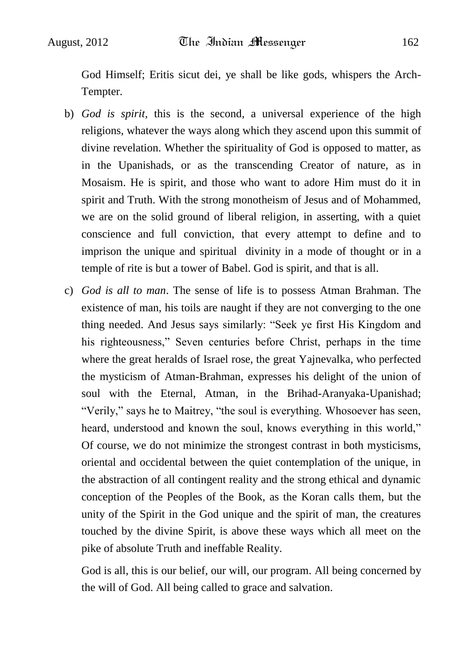God Himself; Eritis sicut dei, ye shall be like gods, whispers the Arch-Tempter.

- b) *God is spirit,* this is the second, a universal experience of the high religions, whatever the ways along which they ascend upon this summit of divine revelation. Whether the spirituality of God is opposed to matter, as in the Upanishads, or as the transcending Creator of nature, as in Mosaism. He is spirit, and those who want to adore Him must do it in spirit and Truth. With the strong monotheism of Jesus and of Mohammed, we are on the solid ground of liberal religion, in asserting, with a quiet conscience and full conviction, that every attempt to define and to imprison the unique and spiritual divinity in a mode of thought or in a temple of rite is but a tower of Babel. God is spirit, and that is all.
- c) *God is all to man*. The sense of life is to possess Atman Brahman. The existence of man, his toils are naught if they are not converging to the one thing needed. And Jesus says similarly: "Seek ye first His Kingdom and his righteousness," Seven centuries before Christ, perhaps in the time where the great heralds of Israel rose, the great Yajnevalka, who perfected the mysticism of Atman-Brahman, expresses his delight of the union of soul with the Eternal, Atman, in the Brihad-Aranyaka-Upanishad; "Verily," says he to Maitrey, "the soul is everything. Whosoever has seen, heard, understood and known the soul, knows everything in this world," Of course, we do not minimize the strongest contrast in both mysticisms, oriental and occidental between the quiet contemplation of the unique, in the abstraction of all contingent reality and the strong ethical and dynamic conception of the Peoples of the Book, as the Koran calls them, but the unity of the Spirit in the God unique and the spirit of man, the creatures touched by the divine Spirit, is above these ways which all meet on the pike of absolute Truth and ineffable Reality.

God is all, this is our belief, our will, our program. All being concerned by the will of God. All being called to grace and salvation.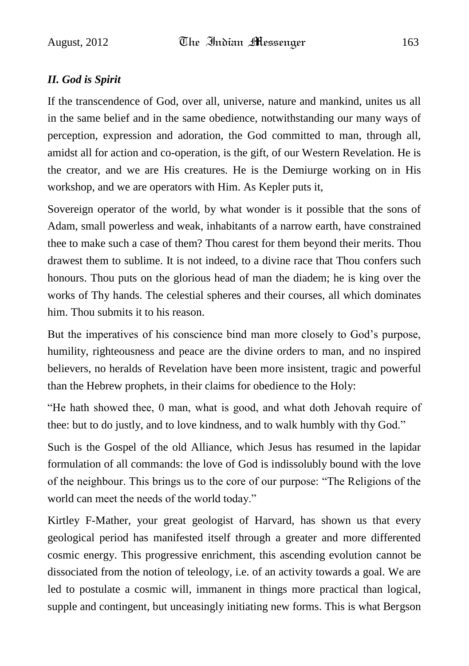### *II. God is Spirit*

If the transcendence of God, over all, universe, nature and mankind, unites us all in the same belief and in the same obedience, notwithstanding our many ways of perception, expression and adoration, the God committed to man, through all, amidst all for action and co-operation, is the gift, of our Western Revelation. He is the creator, and we are His creatures. He is the Demiurge working on in His workshop, and we are operators with Him. As Kepler puts it,

Sovereign operator of the world, by what wonder is it possible that the sons of Adam, small powerless and weak, inhabitants of a narrow earth, have constrained thee to make such a case of them? Thou carest for them beyond their merits. Thou drawest them to sublime. It is not indeed, to a divine race that Thou confers such honours. Thou puts on the glorious head of man the diadem; he is king over the works of Thy hands. The celestial spheres and their courses, all which dominates him. Thou submits it to his reason.

But the imperatives of his conscience bind man more closely to God"s purpose, humility, righteousness and peace are the divine orders to man, and no inspired believers, no heralds of Revelation have been more insistent, tragic and powerful than the Hebrew prophets, in their claims for obedience to the Holy:

"He hath showed thee, 0 man, what is good, and what doth Jehovah require of thee: but to do justly, and to love kindness, and to walk humbly with thy God."

Such is the Gospel of the old Alliance, which Jesus has resumed in the lapidar formulation of all commands: the love of God is indissolubly bound with the love of the neighbour. This brings us to the core of our purpose: "The Religions of the world can meet the needs of the world today."

Kirtley F-Mather, your great geologist of Harvard, has shown us that every geological period has manifested itself through a greater and more differented cosmic energy. This progressive enrichment, this ascending evolution cannot be dissociated from the notion of teleology, i.e. of an activity towards a goal. We are led to postulate a cosmic will, immanent in things more practical than logical, supple and contingent, but unceasingly initiating new forms. This is what Bergson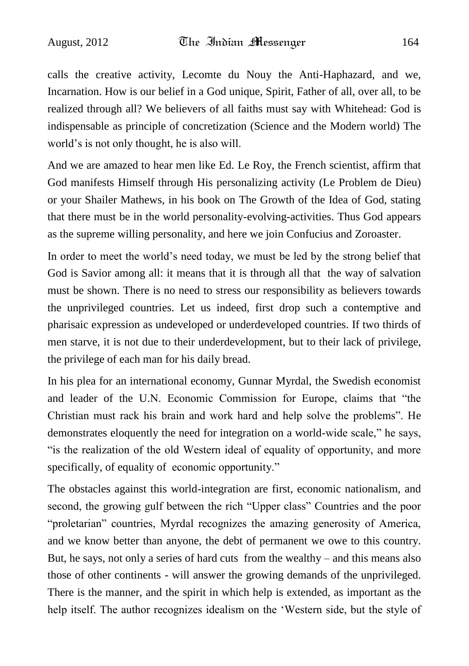calls the creative activity, Lecomte du Nouy the Anti-Haphazard, and we, Incarnation. How is our belief in a God unique, Spirit, Father of all, over all, to be realized through all? We believers of all faiths must say with Whitehead: God is indispensable as principle of concretization (Science and the Modern world) The world"s is not only thought, he is also will.

And we are amazed to hear men like Ed. Le Roy, the French scientist, affirm that God manifests Himself through His personalizing activity (Le Problem de Dieu) or your Shailer Mathews, in his book on The Growth of the Idea of God, stating that there must be in the world personality-evolving-activities. Thus God appears as the supreme willing personality, and here we join Confucius and Zoroaster.

In order to meet the world"s need today, we must be led by the strong belief that God is Savior among all: it means that it is through all that the way of salvation must be shown. There is no need to stress our responsibility as believers towards the unprivileged countries. Let us indeed, first drop such a contemptive and pharisaic expression as undeveloped or underdeveloped countries. If two thirds of men starve, it is not due to their underdevelopment, but to their lack of privilege, the privilege of each man for his daily bread.

In his plea for an international economy, Gunnar Myrdal, the Swedish economist and leader of the U.N. Economic Commission for Europe, claims that "the Christian must rack his brain and work hard and help solve the problems". He demonstrates eloquently the need for integration on a world-wide scale," he says, "is the realization of the old Western ideal of equality of opportunity, and more specifically, of equality of economic opportunity."

The obstacles against this world-integration are first, economic nationalism, and second, the growing gulf between the rich "Upper class" Countries and the poor "proletarian" countries, Myrdal recognizes the amazing generosity of America, and we know better than anyone, the debt of permanent we owe to this country. But, he says, not only a series of hard cuts from the wealthy – and this means also those of other continents - will answer the growing demands of the unprivileged. There is the manner, and the spirit in which help is extended, as important as the help itself. The author recognizes idealism on the "Western side, but the style of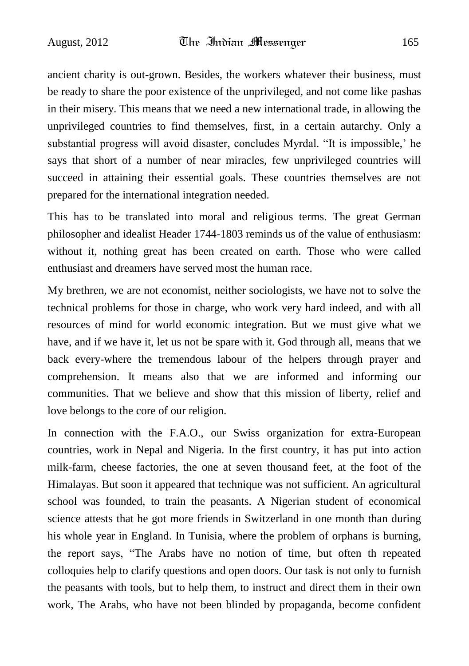ancient charity is out-grown. Besides, the workers whatever their business, must be ready to share the poor existence of the unprivileged, and not come like pashas in their misery. This means that we need a new international trade, in allowing the unprivileged countries to find themselves, first, in a certain autarchy. Only a substantial progress will avoid disaster, concludes Myrdal. "It is impossible," he says that short of a number of near miracles, few unprivileged countries will succeed in attaining their essential goals. These countries themselves are not prepared for the international integration needed.

This has to be translated into moral and religious terms. The great German philosopher and idealist Header 1744-1803 reminds us of the value of enthusiasm: without it, nothing great has been created on earth. Those who were called enthusiast and dreamers have served most the human race.

My brethren, we are not economist, neither sociologists, we have not to solve the technical problems for those in charge, who work very hard indeed, and with all resources of mind for world economic integration. But we must give what we have, and if we have it, let us not be spare with it. God through all, means that we back every-where the tremendous labour of the helpers through prayer and comprehension. It means also that we are informed and informing our communities. That we believe and show that this mission of liberty, relief and love belongs to the core of our religion.

In connection with the F.A.O., our Swiss organization for extra-European countries, work in Nepal and Nigeria. In the first country, it has put into action milk-farm, cheese factories, the one at seven thousand feet, at the foot of the Himalayas. But soon it appeared that technique was not sufficient. An agricultural school was founded, to train the peasants. A Nigerian student of economical science attests that he got more friends in Switzerland in one month than during his whole year in England. In Tunisia, where the problem of orphans is burning, the report says, "The Arabs have no notion of time, but often th repeated colloquies help to clarify questions and open doors. Our task is not only to furnish the peasants with tools, but to help them, to instruct and direct them in their own work, The Arabs, who have not been blinded by propaganda, become confident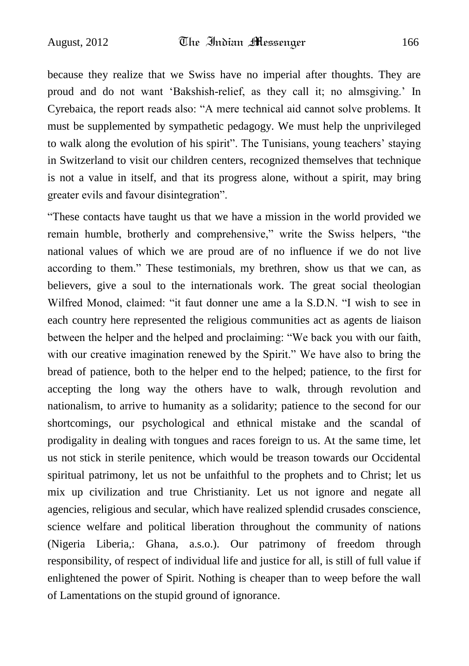because they realize that we Swiss have no imperial after thoughts. They are proud and do not want "Bakshish-relief, as they call it; no almsgiving." In Cyrebaica, the report reads also: "A mere technical aid cannot solve problems. It must be supplemented by sympathetic pedagogy. We must help the unprivileged to walk along the evolution of his spirit". The Tunisians, young teachers" staying in Switzerland to visit our children centers, recognized themselves that technique is not a value in itself, and that its progress alone, without a spirit, may bring greater evils and favour disintegration".

"These contacts have taught us that we have a mission in the world provided we remain humble, brotherly and comprehensive," write the Swiss helpers, "the national values of which we are proud are of no influence if we do not live according to them." These testimonials, my brethren, show us that we can, as believers, give a soul to the internationals work. The great social theologian Wilfred Monod, claimed: "it faut donner une ame a la S.D.N. "I wish to see in each country here represented the religious communities act as agents de liaison between the helper and the helped and proclaiming: "We back you with our faith, with our creative imagination renewed by the Spirit." We have also to bring the bread of patience, both to the helper end to the helped; patience, to the first for accepting the long way the others have to walk, through revolution and nationalism, to arrive to humanity as a solidarity; patience to the second for our shortcomings, our psychological and ethnical mistake and the scandal of prodigality in dealing with tongues and races foreign to us. At the same time, let us not stick in sterile penitence, which would be treason towards our Occidental spiritual patrimony, let us not be unfaithful to the prophets and to Christ; let us mix up civilization and true Christianity. Let us not ignore and negate all agencies, religious and secular, which have realized splendid crusades conscience, science welfare and political liberation throughout the community of nations (Nigeria Liberia,: Ghana, a.s.o.). Our patrimony of freedom through responsibility, of respect of individual life and justice for all, is still of full value if enlightened the power of Spirit. Nothing is cheaper than to weep before the wall of Lamentations on the stupid ground of ignorance.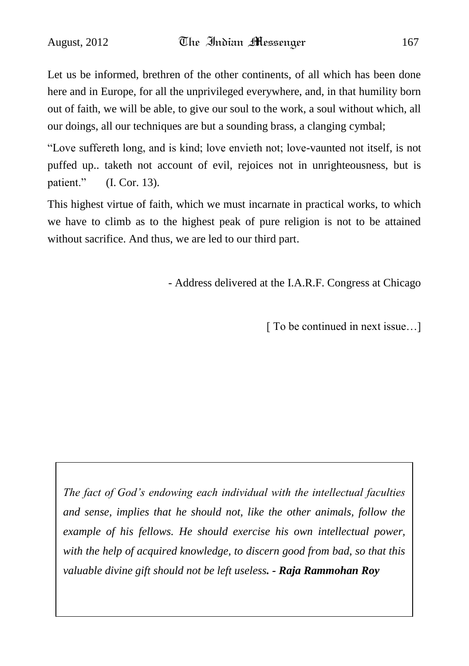Let us be informed, brethren of the other continents, of all which has been done here and in Europe, for all the unprivileged everywhere, and, in that humility born out of faith, we will be able, to give our soul to the work, a soul without which, all our doings, all our techniques are but a sounding brass, a clanging cymbal;

"Love suffereth long, and is kind; love envieth not; love-vaunted not itself, is not puffed up.. taketh not account of evil, rejoices not in unrighteousness, but is patient." (I. Cor. 13).

This highest virtue of faith, which we must incarnate in practical works, to which we have to climb as to the highest peak of pure religion is not to be attained without sacrifice. And thus, we are led to our third part.

- Address delivered at the I.A.R.F. Congress at Chicago

[ To be continued in next issue...]

*The fact of God's endowing each individual with the intellectual faculties and sense, implies that he should not, like the other animals, follow the example of his fellows. He should exercise his own intellectual power, with the help of acquired knowledge, to discern good from bad, so that this valuable divine gift should not be left useless. - Raja Rammohan Roy*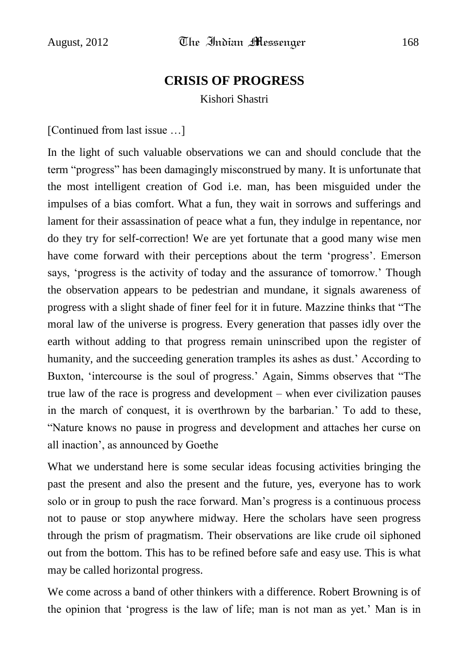## **CRISIS OF PROGRESS**

Kishori Shastri

[Continued from last issue …]

In the light of such valuable observations we can and should conclude that the term "progress" has been damagingly misconstrued by many. It is unfortunate that the most intelligent creation of God i.e. man, has been misguided under the impulses of a bias comfort. What a fun, they wait in sorrows and sufferings and lament for their assassination of peace what a fun, they indulge in repentance, nor do they try for self-correction! We are yet fortunate that a good many wise men have come forward with their perceptions about the term 'progress'. Emerson says, 'progress is the activity of today and the assurance of tomorrow.' Though the observation appears to be pedestrian and mundane, it signals awareness of progress with a slight shade of finer feel for it in future. Mazzine thinks that "The moral law of the universe is progress. Every generation that passes idly over the earth without adding to that progress remain uninscribed upon the register of humanity, and the succeeding generation tramples its ashes as dust." According to Buxton, "intercourse is the soul of progress." Again, Simms observes that "The true law of the race is progress and development – when ever civilization pauses in the march of conquest, it is overthrown by the barbarian." To add to these, "Nature knows no pause in progress and development and attaches her curse on all inaction", as announced by Goethe

What we understand here is some secular ideas focusing activities bringing the past the present and also the present and the future, yes, everyone has to work solo or in group to push the race forward. Man"s progress is a continuous process not to pause or stop anywhere midway. Here the scholars have seen progress through the prism of pragmatism. Their observations are like crude oil siphoned out from the bottom. This has to be refined before safe and easy use. This is what may be called horizontal progress.

We come across a band of other thinkers with a difference. Robert Browning is of the opinion that "progress is the law of life; man is not man as yet." Man is in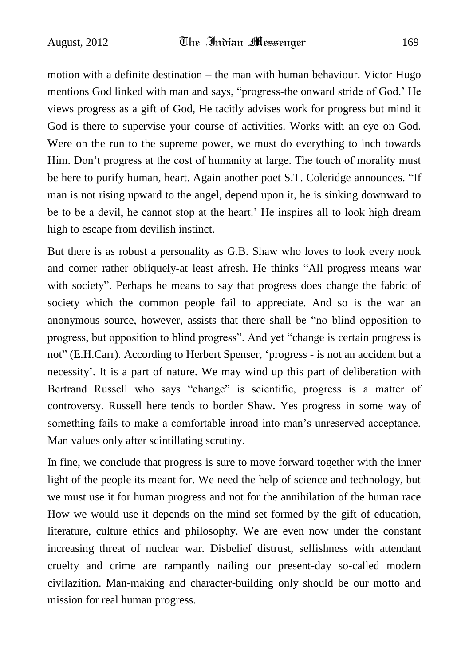motion with a definite destination – the man with human behaviour. Victor Hugo mentions God linked with man and says, "progress-the onward stride of God." He views progress as a gift of God, He tacitly advises work for progress but mind it God is there to supervise your course of activities. Works with an eye on God. Were on the run to the supreme power, we must do everything to inch towards Him. Don"t progress at the cost of humanity at large. The touch of morality must be here to purify human, heart. Again another poet S.T. Coleridge announces. "If man is not rising upward to the angel, depend upon it, he is sinking downward to be to be a devil, he cannot stop at the heart." He inspires all to look high dream high to escape from devilish instinct.

But there is as robust a personality as G.B. Shaw who loves to look every nook and corner rather obliquely-at least afresh. He thinks "All progress means war with society". Perhaps he means to say that progress does change the fabric of society which the common people fail to appreciate. And so is the war an anonymous source, however, assists that there shall be "no blind opposition to progress, but opposition to blind progress". And yet "change is certain progress is not" (E.H.Carr). According to Herbert Spenser, "progress - is not an accident but a necessity". It is a part of nature. We may wind up this part of deliberation with Bertrand Russell who says "change" is scientific, progress is a matter of controversy. Russell here tends to border Shaw. Yes progress in some way of something fails to make a comfortable inroad into man"s unreserved acceptance. Man values only after scintillating scrutiny.

In fine, we conclude that progress is sure to move forward together with the inner light of the people its meant for. We need the help of science and technology, but we must use it for human progress and not for the annihilation of the human race How we would use it depends on the mind-set formed by the gift of education, literature, culture ethics and philosophy. We are even now under the constant increasing threat of nuclear war. Disbelief distrust, selfishness with attendant cruelty and crime are rampantly nailing our present-day so-called modern civilazition. Man-making and character-building only should be our motto and mission for real human progress.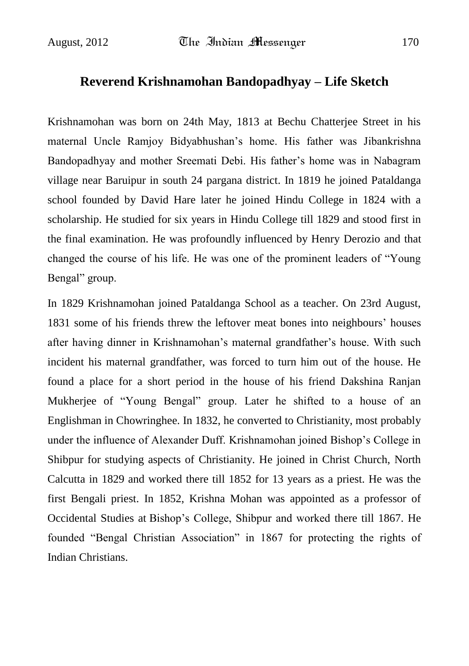### **Reverend Krishnamohan Bandopadhyay – Life Sketch**

Krishnamohan was born on 24th May, 1813 at Bechu Chatterjee Street in his maternal Uncle Ramjoy Bidyabhushan"s home. His father was Jibankrishna Bandopadhyay and mother Sreemati Debi. His father"s home was in Nabagram village near Baruipur in south 24 pargana district. In 1819 he joined Pataldanga school founded by David Hare later he joined Hindu College in 1824 with a scholarship. He studied for six years in Hindu College till 1829 and stood first in the final examination. He was profoundly influenced by Henry Derozio and that changed the course of his life. He was one of the prominent leaders of "Young Bengal" group.

In 1829 Krishnamohan joined Pataldanga School as a teacher. On 23rd August, 1831 some of his friends threw the leftover meat bones into neighbours" houses after having dinner in Krishnamohan"s maternal grandfather"s house. With such incident his maternal grandfather, was forced to turn him out of the house. He found a place for a short period in the house of his friend Dakshina Ranjan Mukherjee of "Young Bengal" group. Later he shifted to a house of an Englishman in Chowringhee. In 1832, he converted to Christianity, most probably under the influence of Alexander Duff. Krishnamohan joined Bishop"s College in Shibpur for studying aspects of Christianity. He joined in Christ Church, North Calcutta in 1829 and worked there till 1852 for 13 years as a priest. He was the first Bengali priest. In 1852, Krishna Mohan was appointed as a professor of Occidental Studies at Bishop"s College, Shibpur and worked there till 1867. He founded "Bengal Christian Association" in 1867 for protecting the rights of Indian Christians.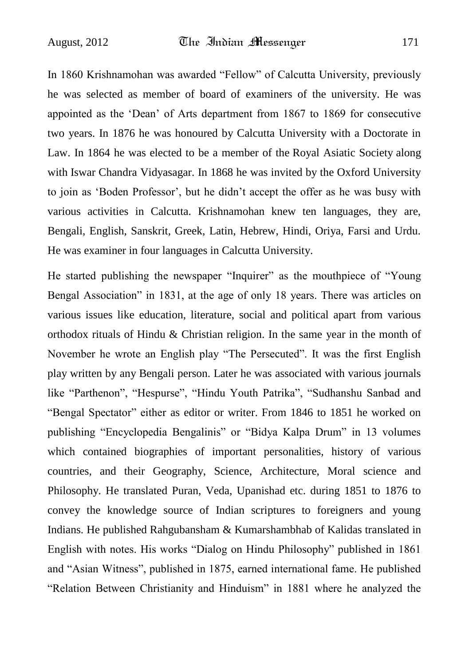In 1860 Krishnamohan was awarded "Fellow" of Calcutta University, previously he was selected as member of board of examiners of the university. He was appointed as the "Dean" of Arts department from 1867 to 1869 for consecutive two years. In 1876 he was honoured by Calcutta University with a Doctorate in Law. In 1864 he was elected to be a member of the Royal Asiatic Society along with [Iswar Chandra Vidyasagar.](http://en.wikipedia.org/wiki/Iswar_Chandra_Vidyasagar) In 1868 he was invited by the Oxford University to join as "Boden Professor", but he didn"t accept the offer as he was busy with various activities in Calcutta. Krishnamohan knew ten languages, they are, Bengali, English, Sanskrit, Greek, Latin, Hebrew, Hindi, Oriya, Farsi and Urdu. He was examiner in four languages in Calcutta University.

He started publishing the newspaper "Inquirer" as the mouthpiece of "Young Bengal Association" in 1831, at the age of only 18 years. There was articles on various issues like education, literature, social and political apart from various orthodox rituals of Hindu & Christian religion. In the same year in the month of November he wrote an English play "The Persecuted". It was the first English play written by any Bengali person. Later he was associated with various journals like "Parthenon", "Hespurse", "Hindu Youth Patrika", "Sudhanshu Sanbad and "Bengal Spectator" either as editor or writer. From 1846 to 1851 he worked on publishing "Encyclopedia Bengalinis" or "Bidya Kalpa Drum" in 13 volumes which contained biographies of important personalities, history of various countries, and their Geography, Science, Architecture, Moral science and Philosophy. He translated Puran, Veda, Upanishad etc. during 1851 to 1876 to convey the knowledge source of Indian scriptures to foreigners and young Indians. He published Rahgubansham & Kumarshambhab of Kalidas translated in English with notes. His works "Dialog on Hindu Philosophy" published in 1861 and "Asian Witness", published in 1875, earned international fame. He published "Relation Between Christianity and Hinduism" in 1881 where he analyzed the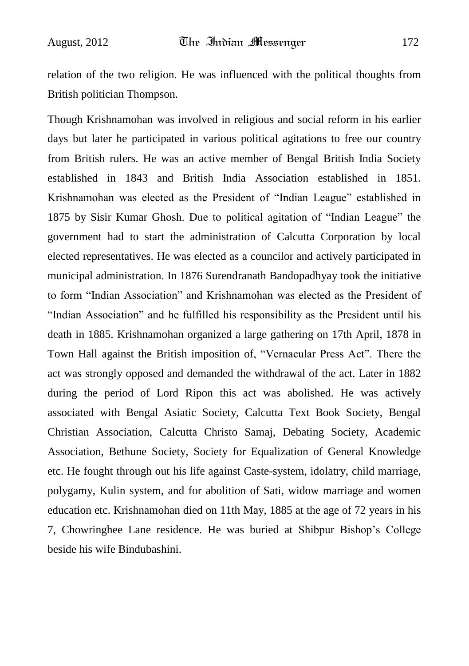relation of the two religion. He was influenced with the political thoughts from British politician Thompson.

Though Krishnamohan was involved in religious and social reform in his earlier days but later he participated in various political agitations to free our country from British rulers. He was an active member of Bengal British India Society established in 1843 and British India Association established in 1851. Krishnamohan was elected as the President of "Indian League" established in 1875 by Sisir Kumar Ghosh. Due to political agitation of "Indian League" the government had to start the administration of Calcutta Corporation by local elected representatives. He was elected as a councilor and actively participated in municipal administration. In 1876 Surendranath Bandopadhyay took the initiative to form "Indian Association" and Krishnamohan was elected as the President of "Indian Association" and he fulfilled his responsibility as the President until his death in 1885. Krishnamohan organized a large gathering on 17th April, 1878 in Town Hall against the British imposition of, "Vernacular Press Act". There the act was strongly opposed and demanded the withdrawal of the act. Later in 1882 during the period of Lord Ripon this act was abolished. He was actively associated with Bengal Asiatic Society, Calcutta Text Book Society, Bengal Christian Association, Calcutta Christo Samaj, Debating Society, Academic Association, Bethune Society, Society for Equalization of General Knowledge etc. He fought through out his life against Caste-system, idolatry, child marriage, polygamy, Kulin system, and for abolition of Sati, widow marriage and women education etc. Krishnamohan died on 11th May, 1885 at the age of 72 years in his 7, Chowringhee Lane residence. He was buried at Shibpur Bishop"s College beside his wife Bindubashini.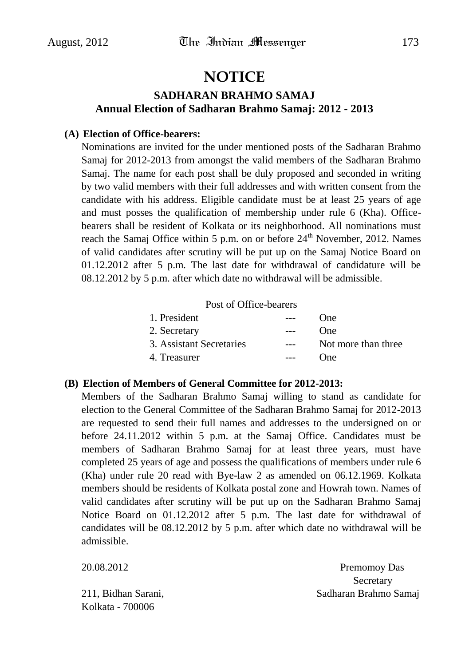## **NOTICE**

### **SADHARAN BRAHMO SAMAJ Annual Election of Sadharan Brahmo Samaj: 2012 - 2013**

### **(A) Election of Office-bearers:**

Nominations are invited for the under mentioned posts of the Sadharan Brahmo Samaj for 2012-2013 from amongst the valid members of the Sadharan Brahmo Samaj. The name for each post shall be duly proposed and seconded in writing by two valid members with their full addresses and with written consent from the candidate with his address. Eligible candidate must be at least 25 years of age and must posses the qualification of membership under rule 6 (Kha). Officebearers shall be resident of Kolkata or its neighborhood. All nominations must reach the Samaj Office within 5 p.m. on or before  $24<sup>th</sup>$  November, 2012. Names of valid candidates after scrutiny will be put up on the Samaj Notice Board on 01.12.2012 after 5 p.m. The last date for withdrawal of candidature will be 08.12.2012 by 5 p.m. after which date no withdrawal will be admissible.

Post of Office-bearers

| $\frac{1}{2}$ | ()ne                |
|---------------|---------------------|
| $---$         | <b>One</b>          |
| $---$         | Not more than three |
| $---$         | ()ne                |
|               |                     |

### **(B) Election of Members of General Committee for 2012-2013:**

Members of the Sadharan Brahmo Samaj willing to stand as candidate for election to the General Committee of the Sadharan Brahmo Samaj for 2012-2013 are requested to send their full names and addresses to the undersigned on or before 24.11.2012 within 5 p.m. at the Samaj Office. Candidates must be members of Sadharan Brahmo Samaj for at least three years, must have completed 25 years of age and possess the qualifications of members under rule 6 (Kha) under rule 20 read with Bye-law 2 as amended on 06.12.1969. Kolkata members should be residents of Kolkata postal zone and Howrah town. Names of valid candidates after scrutiny will be put up on the Sadharan Brahmo Samaj Notice Board on 01.12.2012 after 5 p.m. The last date for withdrawal of candidates will be 08.12.2012 by 5 p.m. after which date no withdrawal will be admissible.

| 20.08.2012          | Premomoy Das          |
|---------------------|-----------------------|
|                     | Secretary             |
| 211, Bidhan Sarani, | Sadharan Brahmo Samaj |
| Kolkata - 700006    |                       |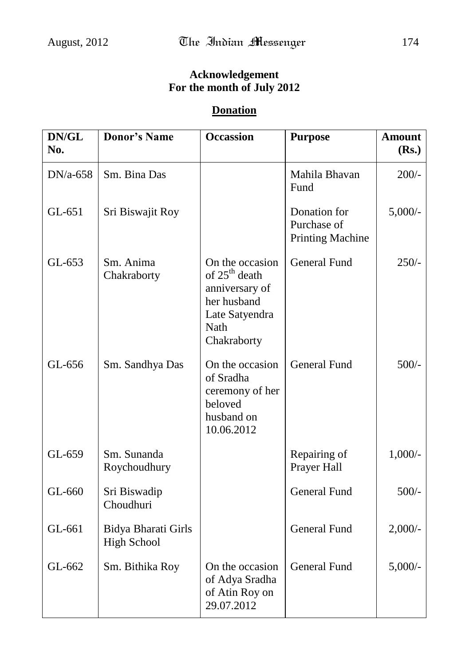## **Acknowledgement For the month of July 2012**

### **Donation**

| DN/GL<br>No. | <b>Donor's Name</b>                       | <b>Occassion</b>                                                                                                       | <b>Purpose</b>                                         | <b>Amount</b><br>(Rs.) |
|--------------|-------------------------------------------|------------------------------------------------------------------------------------------------------------------------|--------------------------------------------------------|------------------------|
| $DN/a-658$   | Sm. Bina Das                              |                                                                                                                        | Mahila Bhavan<br>Fund                                  | $200/-$                |
| GL-651       | Sri Biswajit Roy                          |                                                                                                                        | Donation for<br>Purchase of<br><b>Printing Machine</b> | $5,000/-$              |
| GL-653       | Sm. Anima<br>Chakraborty                  | On the occasion<br>of 25 <sup>th</sup> death<br>anniversary of<br>her husband<br>Late Satyendra<br>Nath<br>Chakraborty | <b>General Fund</b>                                    | $250/-$                |
| GL-656       | Sm. Sandhya Das                           | On the occasion<br>of Sradha<br>ceremony of her<br>beloved<br>husband on<br>10.06.2012                                 | <b>General Fund</b>                                    | $500/-$                |
| GL-659       | Sm. Sunanda<br>Roychoudhury               |                                                                                                                        | Repairing of<br>Prayer Hall                            | $1,000/-$              |
| GL-660       | Sri Biswadip<br>Choudhuri                 |                                                                                                                        | <b>General Fund</b>                                    | $500/-$                |
| GL-661       | Bidya Bharati Girls<br><b>High School</b> |                                                                                                                        | <b>General Fund</b>                                    | $2,000/$ -             |
| GL-662       | Sm. Bithika Roy                           | On the occasion<br>of Adya Sradha<br>of Atin Roy on<br>29.07.2012                                                      | <b>General Fund</b>                                    | $5,000/-$              |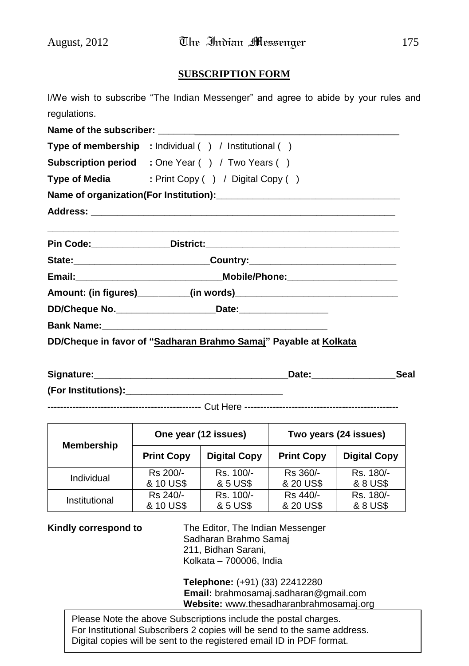### **SUBSCRIPTION FORM**

I/We wish to subscribe "The Indian Messenger" and agree to abide by your rules and regulations.

|  | Type of membership : Individual () / Institutional ()                            |  |  |
|--|----------------------------------------------------------------------------------|--|--|
|  | <b>Subscription period</b> : One Year () / Two Years ()                          |  |  |
|  | Type of Media : Print Copy () / Digital Copy ()                                  |  |  |
|  |                                                                                  |  |  |
|  |                                                                                  |  |  |
|  |                                                                                  |  |  |
|  | State: __________________________________Country: ______________________________ |  |  |
|  |                                                                                  |  |  |
|  |                                                                                  |  |  |
|  | DD/Cheque No. ______________________________Date:_______________________________ |  |  |
|  |                                                                                  |  |  |
|  | DD/Cheque in favor of "Sadharan Brahmo Samaj" Payable at Kolkata                 |  |  |

| Signature:          | Date: | Seal |
|---------------------|-------|------|
| (For Institutions): |       |      |

**-------------------------------------------------** Cut Here **-------------------------------------------------**

| <b>Membership</b> | One year (12 issues) |                     | Two years (24 issues) |                     |
|-------------------|----------------------|---------------------|-----------------------|---------------------|
|                   | <b>Print Copy</b>    | <b>Digital Copy</b> | <b>Print Copy</b>     | <b>Digital Copy</b> |
| Individual        | Rs 200/-             | Rs. 100/-           | Rs 360/-              | Rs. 180/-           |
|                   | & 10 US\$            | & 5 US\$            | & 20 US\$             | & 8 US\$            |
| Institutional     | Rs 240/-             | Rs. 100/-           | Rs 440/-              | Rs. 180/-           |
|                   | & 10 US\$            | & 5 US\$            | & 20 US\$             | & 8 US\$            |

**Kindly correspond to** The Editor, The Indian Messenger Sadharan Brahmo Samaj 211, Bidhan Sarani, Kolkata – 700006, India

> **Telephone:** (+91) (33) 22412280 **Email:** brahmosamaj.sadharan@gmail.com **Website:** www.thesadharanbrahmosamaj.org

Please Note the above Subscriptions include the postal charges. For Institutional Subscribers 2 copies will be send to the same address. Digital copies will be sent to the registered email ID in PDF format.